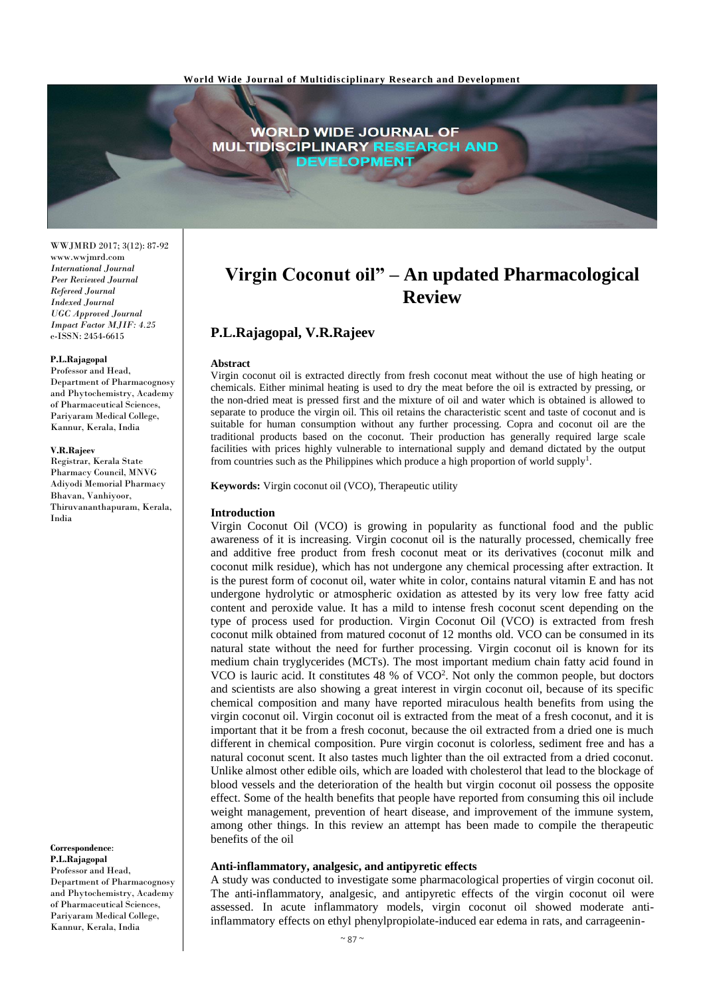

WWJMRD 2017; 3(12): 87-92 www.wwjmrd.com *International Journal Peer Reviewed Journal Refereed Journal Indexed Journal UGC Approved Journal Impact Factor MJIF: 4.25* e-ISSN: 2454-6615

#### **P.L.Rajagopal**

Professor and Head, Department of Pharmacognosy and Phytochemistry, Academy of Pharmaceutical Sciences, Pariyaram Medical College, Kannur, Kerala, India

#### **V.R.Rajeev**

Registrar, Kerala State Pharmacy Council, MNVG Adiyodi Memorial Pharmacy Bhavan, Vanhiyoor, Thiruvananthapuram, Kerala, India

**Correspondence**: **P.L.Rajagopal** Professor and Head, Department of Pharmacognosy and Phytochemistry, Academy of Pharmaceutical Sciences, Pariyaram Medical College, Kannur, Kerala, India

# **Virgin Coconut oil" – An updated Pharmacological Review**

# **P.L.Rajagopal, V.R.Rajeev**

#### **Abstract**

Virgin coconut oil is extracted directly from fresh coconut meat without the use of high heating or chemicals. Either minimal heating is used to dry the meat before the oil is extracted by pressing, or the non-dried meat is pressed first and the mixture of oil and water which is obtained is allowed to separate to produce the virgin oil. This oil retains the characteristic scent and taste of coconut and is suitable for human consumption without any further processing. Copra and coconut oil are the traditional products based on the coconut. Their production has generally required large scale facilities with prices highly vulnerable to international supply and demand dictated by the output from countries such as the Philippines which produce a high proportion of world supply<sup>1</sup>.

**Keywords:** Virgin coconut oil (VCO), Therapeutic utility

# **Introduction**

Virgin Coconut Oil (VCO) is growing in popularity as functional food and the public awareness of it is increasing. Virgin coconut oil is the naturally processed, chemically free and additive free product from fresh coconut meat or its derivatives (coconut milk and coconut milk residue), which has not undergone any chemical processing after extraction. It is the purest form of coconut oil, water white in color, contains natural vitamin E and has not undergone hydrolytic or atmospheric oxidation as attested by its very low free fatty acid content and peroxide value. It has a mild to intense fresh coconut scent depending on the type of process used for production. Virgin Coconut Oil (VCO) is extracted from fresh coconut milk obtained from matured coconut of 12 months old. VCO can be consumed in its natural state without the need for further processing. Virgin coconut oil is known for its medium chain tryglycerides (MCTs). The most important medium chain fatty acid found in VCO is lauric acid. It constitutes 48 % of VCO<sup>2</sup>. Not only the common people, but doctors and scientists are also showing a great interest in virgin coconut oil, because of its specific chemical composition and many have reported miraculous health benefits from using the virgin coconut oil. Virgin coconut oil is extracted from the meat of a fresh coconut, and it is important that it be from a fresh coconut, because the oil extracted from a dried one is much different in chemical composition. Pure virgin coconut is colorless, sediment free and has a natural coconut scent. It also tastes much lighter than the oil extracted from a dried coconut. Unlike almost other edible oils, which are loaded with cholesterol that lead to the blockage of blood vessels and the deterioration of the health but virgin coconut oil possess the opposite effect. Some of the health benefits that people have reported from consuming this oil include weight management, prevention of heart disease, and improvement of the immune system, among other things. In this review an attempt has been made to compile the therapeutic benefits of the oil

#### **Anti-inflammatory, analgesic, and antipyretic effects**

A study was conducted to investigate some pharmacological properties of virgin coconut oil. The anti-inflammatory, analgesic, and antipyretic effects of the virgin coconut oil were assessed. In acute inflammatory models, virgin coconut oil showed moderate antiinflammatory effects on ethyl phenylpropiolate-induced ear edema in rats, and carrageenin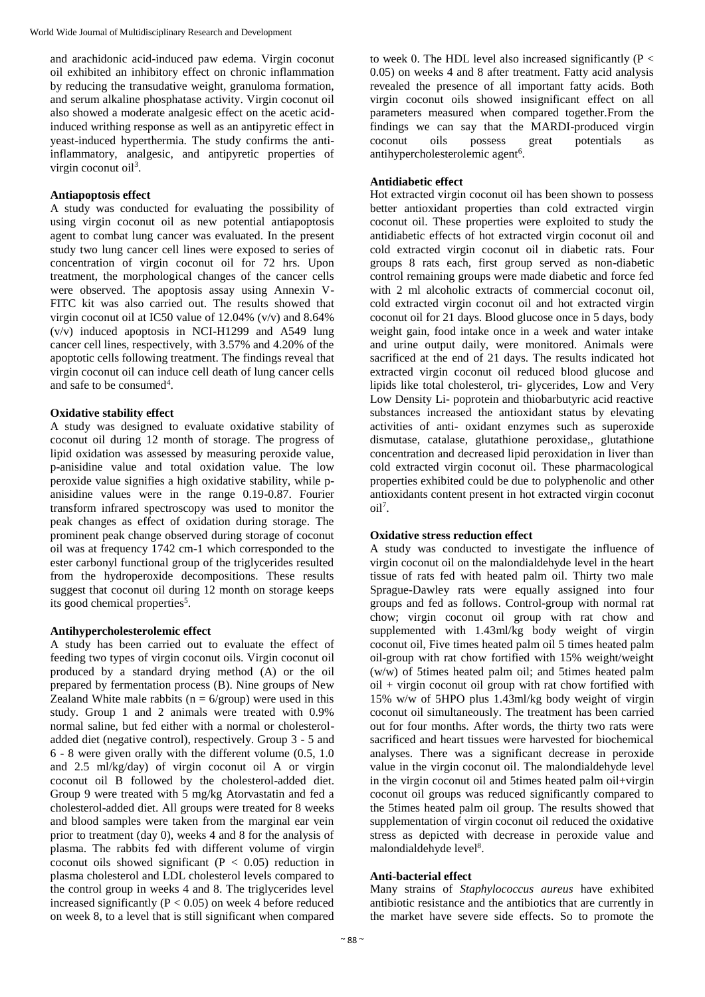and arachidonic acid-induced paw edema. Virgin coconut oil exhibited an inhibitory effect on chronic inflammation by reducing the transudative weight, granuloma formation, and serum alkaline phosphatase activity. Virgin coconut oil also showed a moderate analgesic effect on the acetic acidinduced writhing response as well as an antipyretic effect in yeast-induced hyperthermia. The study confirms the antiinflammatory, analgesic, and antipyretic properties of virgin coconut oil<sup>3</sup>.

## **Antiapoptosis effect**

A study was conducted for evaluating the possibility of using virgin coconut oil as new potential antiapoptosis agent to combat lung cancer was evaluated. In the present study two lung cancer cell lines were exposed to series of concentration of virgin coconut oil for 72 hrs. Upon treatment, the morphological changes of the cancer cells were observed. The apoptosis assay using Annexin V-FITC kit was also carried out. The results showed that virgin coconut oil at IC50 value of 12.04% (v/v) and 8.64% (v/v) induced apoptosis in NCI-H1299 and A549 lung cancer cell lines, respectively, with 3.57% and 4.20% of the apoptotic cells following treatment. The findings reveal that virgin coconut oil can induce cell death of lung cancer cells and safe to be consumed<sup>4</sup>.

# **Oxidative stability effect**

A study was designed to evaluate oxidative stability of coconut oil during 12 month of storage. The progress of lipid oxidation was assessed by measuring peroxide value, p-anisidine value and total oxidation value. The low peroxide value signifies a high oxidative stability, while panisidine values were in the range 0.19-0.87. Fourier transform infrared spectroscopy was used to monitor the peak changes as effect of oxidation during storage. The prominent peak change observed during storage of coconut oil was at frequency 1742 cm-1 which corresponded to the ester carbonyl functional group of the triglycerides resulted from the hydroperoxide decompositions. These results suggest that coconut oil during 12 month on storage keeps its good chemical properties<sup>5</sup>.

#### **Antihypercholesterolemic effect**

A study has been carried out to evaluate the effect of feeding two types of virgin coconut oils. Virgin coconut oil produced by a standard drying method (A) or the oil prepared by fermentation process (B). Nine groups of New Zealand White male rabbits ( $n = 6$ /group) were used in this study. Group 1 and 2 animals were treated with 0.9% normal saline, but fed either with a normal or cholesteroladded diet (negative control), respectively. Group 3 - 5 and 6 - 8 were given orally with the different volume (0.5, 1.0 and 2.5 ml/kg/day) of virgin coconut oil A or virgin coconut oil B followed by the cholesterol-added diet. Group 9 were treated with 5 mg/kg Atorvastatin and fed a cholesterol-added diet. All groups were treated for 8 weeks and blood samples were taken from the marginal ear vein prior to treatment (day 0), weeks 4 and 8 for the analysis of plasma. The rabbits fed with different volume of virgin coconut oils showed significant ( $P < 0.05$ ) reduction in plasma cholesterol and LDL cholesterol levels compared to the control group in weeks 4 and 8. The triglycerides level increased significantly  $(P < 0.05)$  on week 4 before reduced on week 8, to a level that is still significant when compared

to week 0. The HDL level also increased significantly ( $P <$ 0.05) on weeks 4 and 8 after treatment. Fatty acid analysis revealed the presence of all important fatty acids. Both virgin coconut oils showed insignificant effect on all parameters measured when compared together.From the findings we can say that the MARDI-produced virgin<br>coconut oils possess great potentials as coconut oils possess great potentials as antihypercholesterolemic agent<sup>6</sup>.

## **Antidiabetic effect**

Hot extracted virgin coconut oil has been shown to possess better antioxidant properties than cold extracted virgin coconut oil. These properties were exploited to study the antidiabetic effects of hot extracted virgin coconut oil and cold extracted virgin coconut oil in diabetic rats. Four groups 8 rats each, first group served as non-diabetic control remaining groups were made diabetic and force fed with 2 ml alcoholic extracts of commercial coconut oil, cold extracted virgin coconut oil and hot extracted virgin coconut oil for 21 days. Blood glucose once in 5 days, body weight gain, food intake once in a week and water intake and urine output daily, were monitored. Animals were sacrificed at the end of 21 days. The results indicated hot extracted virgin coconut oil reduced blood glucose and lipids like total cholesterol, tri- glycerides, Low and Very Low Density Li- poprotein and thiobarbutyric acid reactive substances increased the antioxidant status by elevating activities of anti- oxidant enzymes such as superoxide dismutase, catalase, glutathione peroxidase,, glutathione concentration and decreased lipid peroxidation in liver than cold extracted virgin coconut oil. These pharmacological properties exhibited could be due to polyphenolic and other antioxidants content present in hot extracted virgin coconut  $\delta$ <sup>7</sup>.

#### **Oxidative stress reduction effect**

A study was conducted to investigate the influence of virgin coconut oil on the malondialdehyde level in the heart tissue of rats fed with heated palm oil. Thirty two male Sprague-Dawley rats were equally assigned into four groups and fed as follows. Control-group with normal rat chow; virgin coconut oil group with rat chow and supplemented with 1.43ml/kg body weight of virgin coconut oil, Five times heated palm oil 5 times heated palm oil-group with rat chow fortified with 15% weight/weight (w/w) of 5times heated palm oil; and 5times heated palm oil + virgin coconut oil group with rat chow fortified with 15% w/w of 5HPO plus 1.43ml/kg body weight of virgin coconut oil simultaneously. The treatment has been carried out for four months. After words, the thirty two rats were sacrificed and heart tissues were harvested for biochemical analyses. There was a significant decrease in peroxide value in the virgin coconut oil. The malondialdehyde level in the virgin coconut oil and 5times heated palm oil+virgin coconut oil groups was reduced significantly compared to the 5times heated palm oil group. The results showed that supplementation of virgin coconut oil reduced the oxidative stress as depicted with decrease in peroxide value and malondialdehyde level<sup>8</sup>.

# **Anti-bacterial effect**

Many strains of *Staphylococcus aureus* have exhibited antibiotic resistance and the antibiotics that are currently in the market have severe side effects. So to promote the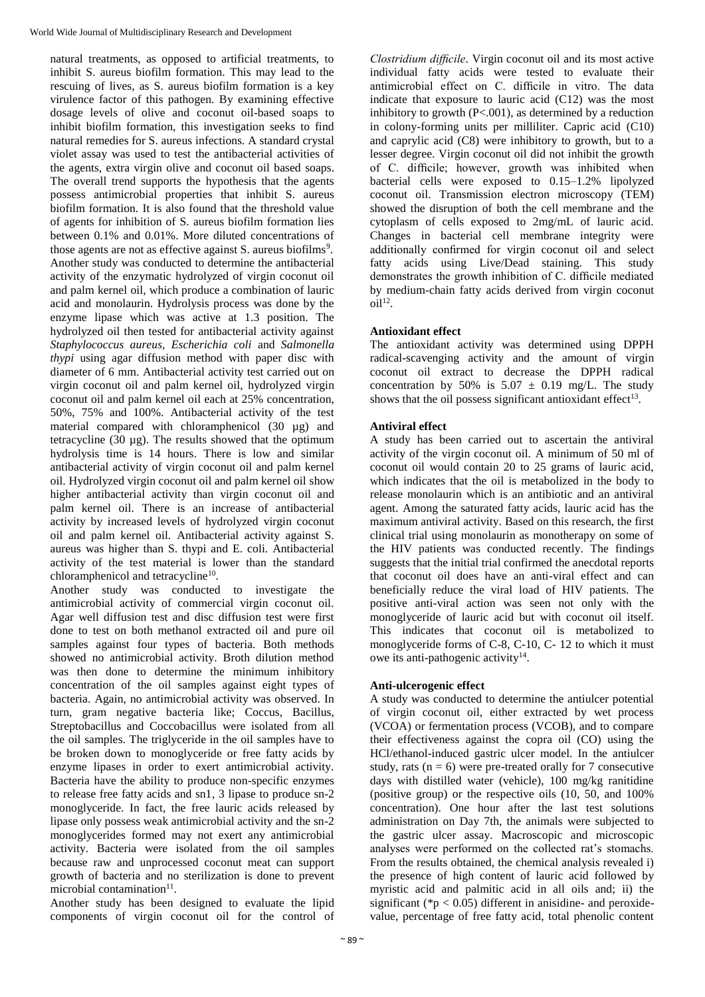natural treatments, as opposed to artificial treatments, to inhibit S. aureus biofilm formation. This may lead to the rescuing of lives, as S. aureus biofilm formation is a key virulence factor of this pathogen. By examining effective dosage levels of olive and coconut oil-based soaps to inhibit biofilm formation, this investigation seeks to find natural remedies for S. aureus infections. A standard crystal violet assay was used to test the antibacterial activities of the agents, extra virgin olive and coconut oil based soaps. The overall trend supports the hypothesis that the agents possess antimicrobial properties that inhibit S. aureus biofilm formation. It is also found that the threshold value of agents for inhibition of S. aureus biofilm formation lies between 0.1% and 0.01%. More diluted concentrations of those agents are not as effective against  $S$ . aureus biofilms<sup>9</sup>. Another study was conducted to determine the antibacterial activity of the enzymatic hydrolyzed of virgin coconut oil and palm kernel oil, which produce a combination of lauric acid and monolaurin. Hydrolysis process was done by the enzyme lipase which was active at 1.3 position. The hydrolyzed oil then tested for antibacterial activity against *Staphylococcus aureus, Escherichia coli* and *Salmonella thypi* using agar diffusion method with paper disc with diameter of 6 mm. Antibacterial activity test carried out on virgin coconut oil and palm kernel oil, hydrolyzed virgin coconut oil and palm kernel oil each at 25% concentration, 50%, 75% and 100%. Antibacterial activity of the test material compared with chloramphenicol (30 µg) and tetracycline (30 µg). The results showed that the optimum hydrolysis time is 14 hours. There is low and similar antibacterial activity of virgin coconut oil and palm kernel oil. Hydrolyzed virgin coconut oil and palm kernel oil show higher antibacterial activity than virgin coconut oil and palm kernel oil. There is an increase of antibacterial activity by increased levels of hydrolyzed virgin coconut oil and palm kernel oil. Antibacterial activity against S. aureus was higher than S. thypi and E. coli. Antibacterial activity of the test material is lower than the standard chloramphenicol and tetracycline<sup>10</sup>.

Another study was conducted to investigate the antimicrobial activity of commercial virgin coconut oil. Agar well diffusion test and disc diffusion test were first done to test on both methanol extracted oil and pure oil samples against four types of bacteria. Both methods showed no antimicrobial activity. Broth dilution method was then done to determine the minimum inhibitory concentration of the oil samples against eight types of bacteria. Again, no antimicrobial activity was observed. In turn, gram negative bacteria like; Coccus, Bacillus, Streptobacillus and Coccobacillus were isolated from all the oil samples. The triglyceride in the oil samples have to be broken down to monoglyceride or free fatty acids by enzyme lipases in order to exert antimicrobial activity. Bacteria have the ability to produce non-specific enzymes to release free fatty acids and sn1, 3 lipase to produce sn-2 monoglyceride. In fact, the free lauric acids released by lipase only possess weak antimicrobial activity and the sn-2 monoglycerides formed may not exert any antimicrobial activity. Bacteria were isolated from the oil samples because raw and unprocessed coconut meat can support growth of bacteria and no sterilization is done to prevent microbial contamination<sup>11</sup>.

Another study has been designed to evaluate the lipid components of virgin coconut oil for the control of

*Clostridium difficile*. Virgin coconut oil and its most active individual fatty acids were tested to evaluate their antimicrobial effect on C. difficile in vitro. The data indicate that exposure to lauric acid (C12) was the most inhibitory to growth  $(P<.001)$ , as determined by a reduction in colony-forming units per milliliter. Capric acid (C10) and caprylic acid (C8) were inhibitory to growth, but to a lesser degree. Virgin coconut oil did not inhibit the growth of C. difficile; however, growth was inhibited when bacterial cells were exposed to 0.15–1.2% lipolyzed coconut oil. Transmission electron microscopy (TEM) showed the disruption of both the cell membrane and the cytoplasm of cells exposed to 2mg/mL of lauric acid. Changes in bacterial cell membrane integrity were additionally confirmed for virgin coconut oil and select fatty acids using Live/Dead staining. This study demonstrates the growth inhibition of C. difficile mediated by medium-chain fatty acids derived from virgin coconut  $oil<sup>12</sup>$ .

# **Antioxidant effect**

The antioxidant activity was determined using DPPH radical-scavenging activity and the amount of virgin coconut oil extract to decrease the DPPH radical concentration by 50% is  $5.07 \pm 0.19$  mg/L. The study shows that the oil possess significant antioxidant effect<sup>13</sup>.

# **Antiviral effect**

A study has been carried out to ascertain the antiviral activity of the virgin coconut oil. A minimum of 50 ml of coconut oil would contain 20 to 25 grams of lauric acid, which indicates that the oil is metabolized in the body to release monolaurin which is an antibiotic and an antiviral agent. Among the saturated fatty acids, lauric acid has the maximum antiviral activity. Based on this research, the first clinical trial using monolaurin as monotherapy on some of the HIV patients was conducted recently. The findings suggests that the initial trial confirmed the anecdotal reports that coconut oil does have an anti-viral effect and can beneficially reduce the viral load of HIV patients. The positive anti-viral action was seen not only with the monoglyceride of lauric acid but with coconut oil itself. This indicates that coconut oil is metabolized to monoglyceride forms of C-8, C-10, C- 12 to which it must owe its anti-pathogenic activity $14$ .

# **Anti-ulcerogenic effect**

A study was conducted to determine the antiulcer potential of virgin coconut oil, either extracted by wet process (VCOA) or fermentation process (VCOB), and to compare their effectiveness against the copra oil (CO) using the HCl/ethanol-induced gastric ulcer model. In the antiulcer study, rats ( $n = 6$ ) were pre-treated orally for 7 consecutive days with distilled water (vehicle), 100 mg/kg ranitidine (positive group) or the respective oils (10, 50, and 100% concentration). One hour after the last test solutions administration on Day 7th, the animals were subjected to the gastric ulcer assay. Macroscopic and microscopic analyses were performed on the collected rat's stomachs. From the results obtained, the chemical analysis revealed i) the presence of high content of lauric acid followed by myristic acid and palmitic acid in all oils and; ii) the significant ( $p < 0.05$ ) different in anisidine- and peroxidevalue, percentage of free fatty acid, total phenolic content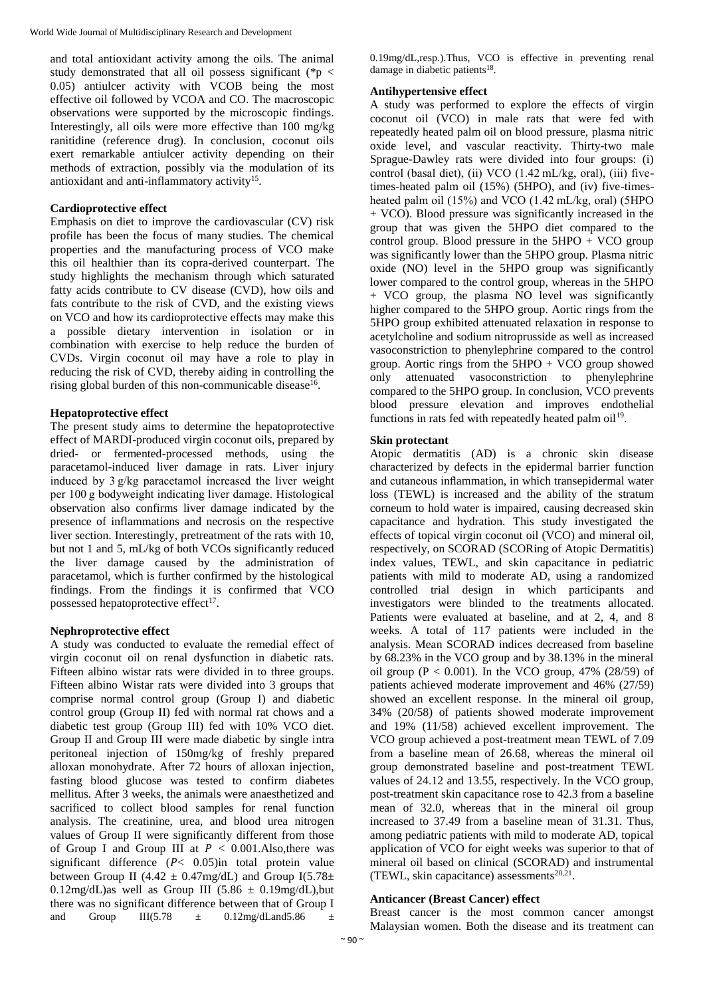and total antioxidant activity among the oils. The animal study demonstrated that all oil possess significant ( $p <$ 0.05) antiulcer activity with VCOB being the most effective oil followed by VCOA and CO. The macroscopic observations were supported by the microscopic findings. Interestingly, all oils were more effective than 100 mg/kg ranitidine (reference drug). In conclusion, coconut oils exert remarkable antiulcer activity depending on their methods of extraction, possibly via the modulation of its antioxidant and anti-inflammatory activity<sup>15</sup>.

# **Cardioprotective effect**

Emphasis on diet to improve the cardiovascular (CV) risk profile has been the focus of many studies. The chemical properties and the manufacturing process of VCO make this oil healthier than its copra-derived counterpart. The study highlights the mechanism through which saturated fatty acids contribute to CV disease (CVD), how oils and fats contribute to the risk of CVD, and the existing views on VCO and how its cardioprotective effects may make this a possible dietary intervention in isolation or in combination with exercise to help reduce the burden of CVDs. Virgin coconut oil may have a role to play in reducing the risk of CVD, thereby aiding in controlling the rising global burden of this non-communicable disease<sup>16</sup>.

# **Hepatoprotective effect**

The present study aims to determine the hepatoprotective effect of MARDI-produced virgin coconut oils, prepared by dried- or fermented-processed methods, using the paracetamol-induced liver damage in rats. Liver injury induced by 3 g/kg paracetamol increased the liver weight per 100 g bodyweight indicating liver damage. Histological observation also confirms liver damage indicated by the presence of inflammations and necrosis on the respective liver section. Interestingly, pretreatment of the rats with 10, but not 1 and 5, mL/kg of both VCOs significantly reduced the liver damage caused by the administration of paracetamol, which is further confirmed by the histological findings. From the findings it is confirmed that VCO possessed hepatoprotective effect<sup>17</sup>.

# **Nephroprotective effect**

A study was conducted to evaluate the remedial effect of virgin coconut oil on renal dysfunction in diabetic rats. Fifteen albino wistar rats were divided in to three groups. Fifteen albino Wistar rats were divided into 3 groups that comprise normal control group (Group I) and diabetic control group (Group II) fed with normal rat chows and a diabetic test group (Group III) fed with 10% VCO diet. Group II and Group III were made diabetic by single intra peritoneal injection of 150mg/kg of freshly prepared alloxan monohydrate. After 72 hours of alloxan injection, fasting blood glucose was tested to confirm diabetes mellitus. After 3 weeks, the animals were anaesthetized and sacrificed to collect blood samples for renal function analysis. The creatinine, urea, and blood urea nitrogen values of Group II were significantly different from those of Group I and Group III at  $P < 0.001$ . Also, there was significant difference  $(P< 0.05)$ in total protein value between Group II (4.42  $\pm$  0.47mg/dL) and Group I(5.78 $\pm$ 0.12mg/dL)as well as Group III (5.86  $\pm$  0.19mg/dL), but there was no significant difference between that of Group I and Group III(5.78  $\pm$  0.12mg/dLand5.86  $\pm$ 

0.19mg/dL,resp.).Thus, VCO is effective in preventing renal damage in diabetic patients<sup>18</sup>.

## **Antihypertensive effect**

A study was performed to explore the effects of virgin coconut oil (VCO) in male rats that were fed with repeatedly heated palm oil on blood pressure, plasma nitric oxide level, and vascular reactivity. Thirty-two male Sprague-Dawley rats were divided into four groups: (i) control (basal diet), (ii) VCO (1.42 mL/kg, oral), (iii) fivetimes-heated palm oil (15%) (5HPO), and (iv) five-timesheated palm oil (15%) and VCO (1.42 mL/kg, oral) (5HPO + VCO). Blood pressure was significantly increased in the group that was given the 5HPO diet compared to the control group. Blood pressure in the  $5HPO + VCO$  group was significantly lower than the 5HPO group. Plasma nitric oxide (NO) level in the 5HPO group was significantly lower compared to the control group, whereas in the 5HPO + VCO group, the plasma NO level was significantly higher compared to the 5HPO group. Aortic rings from the 5HPO group exhibited attenuated relaxation in response to acetylcholine and sodium nitroprusside as well as increased vasoconstriction to phenylephrine compared to the control group. Aortic rings from the  $5HPO + VCO$  group showed only attenuated vasoconstriction to phenylephrine compared to the 5HPO group. In conclusion, VCO prevents blood pressure elevation and improves endothelial functions in rats fed with repeatedly heated palm oil<sup>19</sup>.

## **Skin protectant**

Atopic dermatitis (AD) is a chronic skin disease characterized by defects in the epidermal barrier function and cutaneous inflammation, in which transepidermal water loss (TEWL) is increased and the ability of the stratum corneum to hold water is impaired, causing decreased skin capacitance and hydration. This study investigated the effects of topical virgin coconut oil (VCO) and mineral oil, respectively, on SCORAD (SCORing of Atopic Dermatitis) index values, TEWL, and skin capacitance in pediatric patients with mild to moderate AD, using a randomized controlled trial design in which participants and investigators were blinded to the treatments allocated. Patients were evaluated at baseline, and at 2, 4, and 8 weeks. A total of 117 patients were included in the analysis. Mean SCORAD indices decreased from baseline by 68.23% in the VCO group and by 38.13% in the mineral oil group ( $P < 0.001$ ). In the VCO group, 47% (28/59) of patients achieved moderate improvement and 46% (27/59) showed an excellent response. In the mineral oil group, 34% (20/58) of patients showed moderate improvement and 19% (11/58) achieved excellent improvement. The VCO group achieved a post-treatment mean TEWL of 7.09 from a baseline mean of 26.68, whereas the mineral oil group demonstrated baseline and post-treatment TEWL values of 24.12 and 13.55, respectively. In the VCO group, post-treatment skin capacitance rose to 42.3 from a baseline mean of 32.0, whereas that in the mineral oil group increased to 37.49 from a baseline mean of 31.31. Thus, among pediatric patients with mild to moderate AD, topical application of VCO for eight weeks was superior to that of mineral oil based on clinical (SCORAD) and instrumental (TEWL, skin capacitance) assessments $20,21$ .

# **Anticancer (Breast Cancer) effect**

Breast cancer is the most common cancer amongst Malaysian women. Both the disease and its treatment can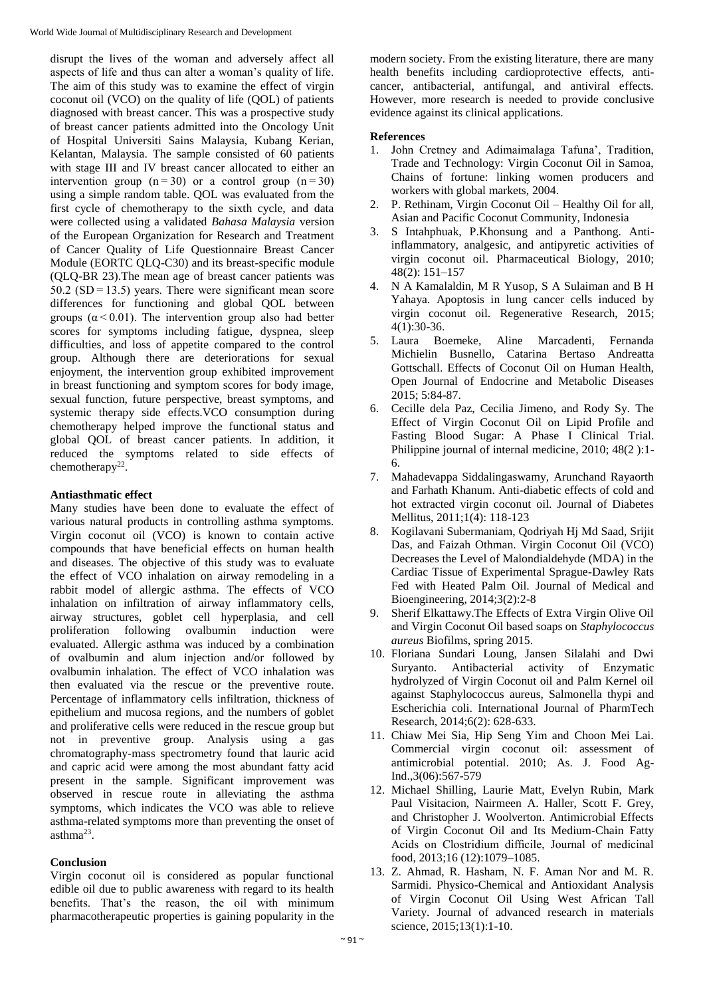disrupt the lives of the woman and adversely affect all aspects of life and thus can alter a woman's quality of life. The aim of this study was to examine the effect of virgin coconut oil (VCO) on the quality of life (QOL) of patients diagnosed with breast cancer. This was a prospective study of breast cancer patients admitted into the Oncology Unit of Hospital Universiti Sains Malaysia, Kubang Kerian, Kelantan, Malaysia. The sample consisted of 60 patients with stage III and IV breast cancer allocated to either an intervention group  $(n=30)$  or a control group  $(n=30)$ using a simple random table. QOL was evaluated from the first cycle of chemotherapy to the sixth cycle, and data were collected using a validated *Bahasa Malaysia* version of the European Organization for Research and Treatment of Cancer Quality of Life Questionnaire Breast Cancer Module (EORTC QLQ-C30) and its breast-specific module (QLQ-BR 23).The mean age of breast cancer patients was 50.2 (SD = 13.5) years. There were significant mean score differences for functioning and global QOL between groups ( $\alpha$  < 0.01). The intervention group also had better scores for symptoms including fatigue, dyspnea, sleep difficulties, and loss of appetite compared to the control group. Although there are deteriorations for sexual enjoyment, the intervention group exhibited improvement in breast functioning and symptom scores for body image, sexual function, future perspective, breast symptoms, and systemic therapy side effects.VCO consumption during chemotherapy helped improve the functional status and global QOL of breast cancer patients. In addition, it reduced the symptoms related to side effects of chemotherapy<sup>22</sup>.

# **Antiasthmatic effect**

Many studies have been done to evaluate the effect of various natural products in controlling asthma symptoms. Virgin coconut oil (VCO) is known to contain active compounds that have beneficial effects on human health and diseases. The objective of this study was to evaluate the effect of VCO inhalation on airway remodeling in a rabbit model of allergic asthma. The effects of VCO inhalation on infiltration of airway inflammatory cells, airway structures, goblet cell hyperplasia, and cell proliferation following ovalbumin induction were evaluated. Allergic asthma was induced by a combination of ovalbumin and alum injection and/or followed by ovalbumin inhalation. The effect of VCO inhalation was then evaluated via the rescue or the preventive route. Percentage of inflammatory cells infiltration, thickness of epithelium and mucosa regions, and the numbers of goblet and proliferative cells were reduced in the rescue group but not in preventive group. Analysis using a gas chromatography-mass spectrometry found that lauric acid and capric acid were among the most abundant fatty acid present in the sample. Significant improvement was observed in rescue route in alleviating the asthma symptoms, which indicates the VCO was able to relieve asthma-related symptoms more than preventing the onset of  $a$ sthma<sup>23</sup>.

# **Conclusion**

Virgin coconut oil is considered as popular functional edible oil due to public awareness with regard to its health benefits. That's the reason, the oil with minimum pharmacotherapeutic properties is gaining popularity in the modern society. From the existing literature, there are many health benefits including cardioprotective effects, anticancer, antibacterial, antifungal, and antiviral effects. However, more research is needed to provide conclusive evidence against its clinical applications.

# **References**

- 1. John Cretney and Adimaimalaga Tafuna', Tradition, Trade and Technology: Virgin Coconut Oil in Samoa, Chains of fortune: linking women producers and workers with global markets, 2004.
- 2. P. Rethinam, Virgin Coconut Oil Healthy Oil for all, Asian and Pacific Coconut Community, Indonesia
- 3. S Intahphuak, P.Khonsung and a Panthong. Antiinflammatory, analgesic, and antipyretic activities of virgin coconut oil. Pharmaceutical Biology, 2010; 48(2): 151–157
- 4. N A Kamalaldin, M R Yusop, S A Sulaiman and B H Yahaya. Apoptosis in lung cancer cells induced by virgin coconut oil. Regenerative Research, 2015;  $4(1):30-36.$
- 5. Laura Boemeke, Aline Marcadenti, Fernanda Michielin Busnello, Catarina Bertaso Andreatta Gottschall. Effects of Coconut Oil on Human Health, Open Journal of Endocrine and Metabolic Diseases 2015; 5:84-87.
- 6. Cecille dela Paz, Cecilia Jimeno, and Rody Sy. The Effect of Virgin Coconut Oil on Lipid Profile and Fasting Blood Sugar: A Phase I Clinical Trial. Philippine journal of internal medicine, 2010; 48(2 ):1- 6.
- 7. Mahadevappa Siddalingaswamy, Arunchand Rayaorth and Farhath Khanum. Anti-diabetic effects of cold and hot extracted virgin coconut oil. Journal of Diabetes Mellitus, 2011;1(4): 118-123
- 8. Kogilavani Subermaniam, Qodriyah Hj Md Saad, Srijit Das, and Faizah Othman. Virgin Coconut Oil (VCO) Decreases the Level of Malondialdehyde (MDA) in the Cardiac Tissue of Experimental Sprague-Dawley Rats Fed with Heated Palm Oil. Journal of Medical and Bioengineering, 2014;3(2):2-8
- 9. Sherif Elkattawy.The Effects of Extra Virgin Olive Oil and Virgin Coconut Oil based soaps on *Staphylococcus aureus* Biofilms, spring 2015.
- 10. Floriana Sundari Loung, Jansen Silalahi and Dwi Suryanto. Antibacterial activity of Enzymatic hydrolyzed of Virgin Coconut oil and Palm Kernel oil against Staphylococcus aureus, Salmonella thypi and Escherichia coli. International Journal of PharmTech Research, 2014;6(2): 628-633.
- 11. Chiaw Mei Sia, Hip Seng Yim and Choon Mei Lai. Commercial virgin coconut oil: assessment of antimicrobial potential. 2010; As. J. Food Ag- $Ind.,3(06):567-579$
- 12. Michael Shilling, Laurie Matt, Evelyn Rubin, Mark Paul Visitacion, Nairmeen A. Haller, Scott F. Grey, and Christopher J. Woolverton. Antimicrobial Effects of Virgin Coconut Oil and Its Medium-Chain Fatty Acids on Clostridium difficile, Journal of medicinal food, 2013;16 (12):1079–1085.
- 13. Z. Ahmad, R. Hasham, N. F. Aman Nor and M. R. Sarmidi. Physico-Chemical and Antioxidant Analysis of Virgin Coconut Oil Using West African Tall Variety. Journal of advanced research in materials science, 2015;13(1):1-10.